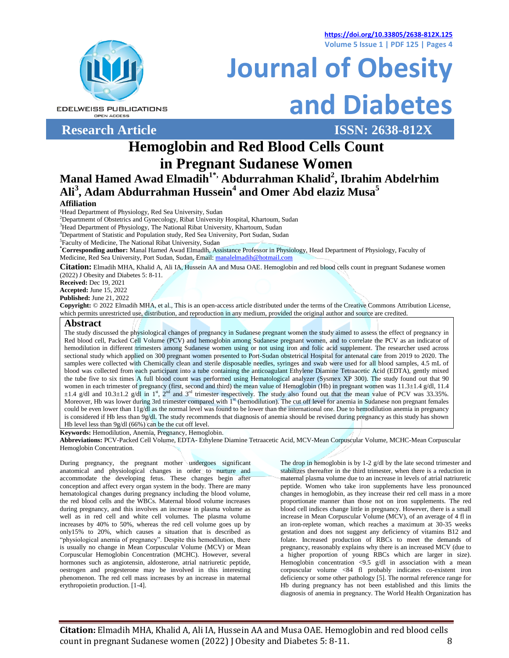**https://doi.org/10.33805/2638-812X.125 Volume 5 Issue 1 | PDF 125 | Pages 4**



**EDELWEISS PUBLICATIONS OPEN ACCESS** 

**Research Article ISSN: 2638-812X**

**and Diabetes**

**Journal of Obesity**

# **Hemoglobin and Red Blood Cells Count in Pregnant Sudanese Women**

# **Manal Hamed Awad Elmadih1\*, Abdurrahman Khalid<sup>2</sup> , Ibrahim Abdelrhim Ali<sup>3</sup> , Adam Abdurrahman Hussein<sup>4</sup> and Omer Abd elaziz Musa<sup>5</sup>**

## **Affiliation**

<sup>1</sup>Head Department of Physiology, Red Sea University, Sudan

<sup>2</sup>Departmemt of Obstetrics and Gynecology, Ribat University Hospital, Khartoum, Sudan

<sup>3</sup>Head Department of Physiology, The National Ribat University, Khartoum, Sudan

<sup>4</sup>Department of Statistic and Population study, Red Sea University, Port Sudan, Sudan

<sup>5</sup>Faculty of Medicine, The National Ribat University, Sudan

**\*Corresponding author:** Manal Hamed Awad Elmadih, Assistance Professor in Physiology, Head Department of Physiology, Faculty of Medicine, Red Sea University, Port Sudan, Sudan, Email[: manalelmadih@hotmail.com](mailto:manalelmadih@hotmail.com)

**Citation:** Elmadih MHA, Khalid A, Ali IA, Hussein AA and Musa OAE. Hemoglobin and red blood cells count in pregnant Sudanese women (2022) J Obesity and Diabetes 5: 8-11.

**Received:** Dec 19, 2021

**Accepted:** June 15, 2022

**Published:** June 21, 2022

**Copyright:** © 2022 Elmadih MHA, et al., This is an open-access article distributed under the terms of the Creative Commons Attribution License, which permits unrestricted use, distribution, and reproduction in any medium, provided the original author and source are credited.

### **Abstract**

The study discussed the physiological changes of pregnancy in Sudanese pregnant women the study aimed to assess the effect of pregnancy in Red blood cell, Packed Cell Volume (PCV) and hemoglobin among Sudanese pregnant women, and to correlate the PCV as an indicator of hemodilution in different trimesters among Sudanese women using or not using iron and folic acid supplement. The researcher used across sectional study which applied on 300 pregnant women presented to Port-Sudan obstetrical Hospital for antenatal care from 2019 to 2020. The samples were collected with Chemically clean and sterile disposable needles, syringes and swab were used for all blood samples, 4.5 mL of blood was collected from each participant into a tube containing the anticoagulant Ethylene Diamine Tetraacetic Acid (EDTA), gently mixed the tube five to six times A full blood count was performed using Hematological analyzer (Sysmex XP 300). The study found out that 90 women in each trimester of pregnancy (first, second and third) the mean value of Hemoglobin (Hb) in pregnant women was 11.3±1.4 g/dl, 11.4  $\pm 1.4$  g/dl and  $10.3\pm 1.2$  g/dl in  $1^{\text{st}}$ ,  $2^{\text{nd}}$  and  $3^{\text{rd}}$  trimester respectively. The study also found out that the mean value of PCV was 33.35%. Moreover, Hb was lower during 3rd trimester compared with 1<sup>st</sup> (hemodilution). The cut off level for anemia in Sudanese non pregnant females could be even lower than 11g/dl as the normal level was found to be lower than the international one. Due to hemodilution anemia in pregnancy is considered if Hb less than 9g/dl. The study recommends that diagnosis of anemia should be revised during pregnancy as this study has shown Hb level less than 9g/dl (66%) can be the cut off level.

**Keywords:** Hemodilution, Anemia, Pregnancy, Hemoglobin.

**Abbreviations:** PCV-Packed Cell Volume, EDTA- Ethylene Diamine Tetraacetic Acid, MCV-Mean Corpuscular Volume, MCHC-Mean Corpuscular Hemoglobin Concentration.

During pregnancy, the pregnant mother undergoes significant anatomical and physiological changes in order to nurture and accommodate the developing fetus. These changes begin after conception and affect every organ system in the body. There are many hematological changes during pregnancy including the blood volume, the red blood cells and the WBCs. Maternal blood volume increases during pregnancy, and this involves an increase in plasma volume as well as in red cell and white cell volumes. The plasma volume increases by 40% to 50%, whereas the red cell volume goes up by only15% to 20%, which causes a situation that is described as "physiological anemia of pregnancy". Despite this hemodilution, there is usually no change in Mean Corpuscular Volume (MCV) or Mean Corpuscular Hemoglobin Concentration (MCHC). However, several hormones such as angiotensin, aldosterone, atrial natriuretic peptide, oestrogen and progesterone may be involved in this interesting phenomenon. The red cell mass increases by an increase in maternal erythropoietin production. [1-4].

The drop in hemoglobin is by 1-2 g/dl by the late second trimester and stabilizes thereafter in the third trimester, when there is a reduction in maternal plasma volume due to an increase in levels of atrial natriuretic peptide. Women who take iron supplements have less pronounced changes in hemoglobin, as they increase their red cell mass in a more proportionate manner than those not on iron supplements. The red blood cell indices change little in pregnancy. However, there is a small increase in Mean Corpuscular Volume (MCV), of an average of 4 fl in an iron-replete woman, which reaches a maximum at 30-35 weeks gestation and does not suggest any deficiency of vitamins B12 and folate. Increased production of RBCs to meet the demands of pregnancy, reasonably explains why there is an increased MCV (due to a higher proportion of young RBCs which are larger in size). Hemoglobin concentration <9.5 g/dl in association with a mean corpuscular volume <84 fl probably indicates co-existent iron deficiency or some other pathology [5]. The normal reference range for Hb during pregnancy has not been established and this limits the diagnosis of anemia in pregnancy. The World Health Organization has

**Citation:** Elmadih MHA, Khalid A, Ali IA, Hussein AA and Musa OAE. Hemoglobin and red blood cells count in pregnant Sudanese women (2022) J Obesity and Diabetes 5: 8-11. 8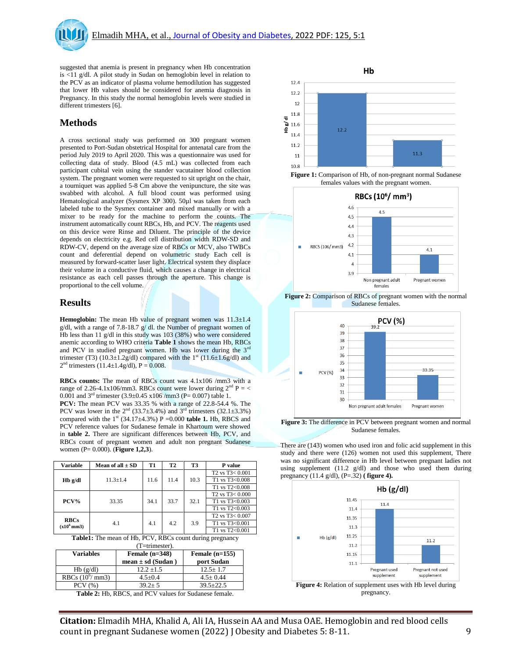suggested that anemia is present in pregnancy when Hb concentration is <11 g/dl. A pilot study in Sudan on hemoglobin level in relation to the PCV as an indicator of plasma volume hemodilution has suggested that lower Hb values should be considered for anemia diagnosis in Pregnancy. In this study the normal hemoglobin levels were studied in different trimesters [6].

# **Methods**

A cross sectional study was performed on 300 pregnant women presented to Port-Sudan obstetrical Hospital for antenatal care from the period July 2019 to April 2020. This was a questionnaire was used for collecting data of study. Blood (4.5 mL) was collected from each participant cubital vein using the stander vacutainer blood collection system. The pregnant women were requested to sit upright on the chair, a tourniquet was applied 5-8 Cm above the venipuncture, the site was swabbed with alcohol. A full blood count was performed using Hematological analyzer (Sysmex XP 300). 50µl was taken from each labeled tube to the Sysmex container and mixed manually or with a mixer to be ready for the machine to perform the counts. The instrument automatically count RBCs, Hb, and PCV. The reagents used on this device were Rinse and Diluent. The principle of the device depends on electricity e.g. Red cell distribution width RDW-SD and RDW-CV, depend on the average size of RBCs or MCV, also TWBCs count and deferential depend on volumetric study Each cell is measured by forward-scatter laser light. Electrical system they displace their volume in a conductive fluid, which causes a change in electrical resistance as each cell passes through the aperture. This change is proportional to the cell volume.

## **Results**

**Hemoglobin:** The mean Hb value of pregnant women was  $11.3 \pm 1.4$ g/dl, with a range of 7.8-18.7 g/ dl. the Number of pregnant women of Hb less than 11 g/dl in this study was 103 (38%) who were considered anemic according to WHO criteria **Table 1** shows the mean Hb, RBCs and PCV in studied pregnant women. Hb was lower during the  $3<sup>rd</sup>$ trimester (T3) (10.3±1.2g/dl) compared with the  $1^{st}$  (11.6±1.6g/dl) and  $2<sup>nd</sup>$  trimesters (11.4±1.4g/dl), P = 0.008.

**RBCs counts:** The mean of RBCs count was 4.1x106 /mm3 with a range of 2.26-4.1x106/mm3. RBCs count were lower during  $2<sup>nd</sup>$  P = < 0.001 and  $3^{rd}$  trimester  $(3.9 \pm 0.45 \times 106$  /mm3 (P= 0.007) table 1. **PCV:** The mean PCV was 33.35 % with a range of 22.8-54.4 %. The PCV was lower in the  $2<sup>nd</sup>$  (33.7±3.4%) and  $3<sup>rd</sup>$  trimesters (32.1±3.3%) compared with the  $1<sup>st</sup>$  (34.17 $\pm$ 4.3%) P =0.000 **table 1.** Hb, RBCS and PCV reference values for Sudanese female in Khartoum were showed in **table 2.** There are significant differences between Hb, PCV, and RBCs count of pregnant women and adult non pregnant Sudanese women (P= 0.000). (**Figure 1,2,3**).

| <b>Variable</b>                                    | Mean of all $\pm$ SD | <b>T1</b> | T <sub>2</sub> | <b>T3</b> | P value                                  |
|----------------------------------------------------|----------------------|-----------|----------------|-----------|------------------------------------------|
| $Hb$ g/dl                                          | $11.3 \pm 1.4$       | 11.6      | 11.4           | 10.3      | T <sub>2</sub> vs T <sub>3</sub> < 0.001 |
|                                                    |                      |           |                |           | T1 vs T3<0.008                           |
|                                                    |                      |           |                |           | T1 vs $T2<0.008$                         |
| PCV%                                               | 33.35                | 34.1      | 33.7           | 32.1      | $T2$ vs $T3 < 0.000$                     |
|                                                    |                      |           |                |           | T1 vs $T3<0.003$                         |
|                                                    |                      |           |                |           | T1 vs $T2 < 0.003$                       |
| <b>RBCs</b><br>(x10 <sup>6</sup> mm <sub>3</sub> ) | 4.1                  | 4.1       | 4.2            | 3.9       | T <sub>2</sub> vs $T_3 < 0.007$          |
|                                                    |                      |           |                |           | T1 vs T3<0.001                           |
|                                                    |                      |           |                |           | T1 vs $T2<0.001$                         |
| ----<br>---<br>---<br>.<br>-----                   |                      |           |                |           |                                          |

**Table1:** The mean of Hb, PCV, RBCs count during pregnancy (T=trimester).

| <b>Variables</b>          | Female $(n=348)$<br>mean $\pm$ sd (Sudan) | Female $(n=155)$<br>port Sudan |
|---------------------------|-------------------------------------------|--------------------------------|
| $Hb$ (g/dl)               | $12.2 + 1.5$                              | $12.5 + 1.7$                   |
| RBCs $(10^6/\text{mm}^3)$ | $4.5 + 0.4$                               | $4.5 \pm 0.44$                 |
| PCV(%)                    | $39.2 + 5$                                | $39.5 + 22.5$                  |

**Table 2:** Hb, RBCS, and PCV values for Sudanese female.



**Figure 1:** Comparison of Hb, of non-pregnant normal Sudanese females values with the pregnant women.



**Figure 2:** Comparison of RBCs of pregnant women with the normal Sudanese females.



**Figure 3:** The difference in PCV between pregnant women and normal Sudanese females.

There are (143) women who used iron and folic acid supplement in this study and there were (126) women not used this supplement, There was no significant difference in Hb level between pregnant ladies not using supplement (11.2 g/dl) and those who used them during pregnancy (11.4 g/dl), (P=.32) **( figure 4).**



**Citation:** Elmadih MHA, Khalid A, Ali IA, Hussein AA and Musa OAE. Hemoglobin and red blood cells count in pregnant Sudanese women (2022) J Obesity and Diabetes 5: 8-11. 9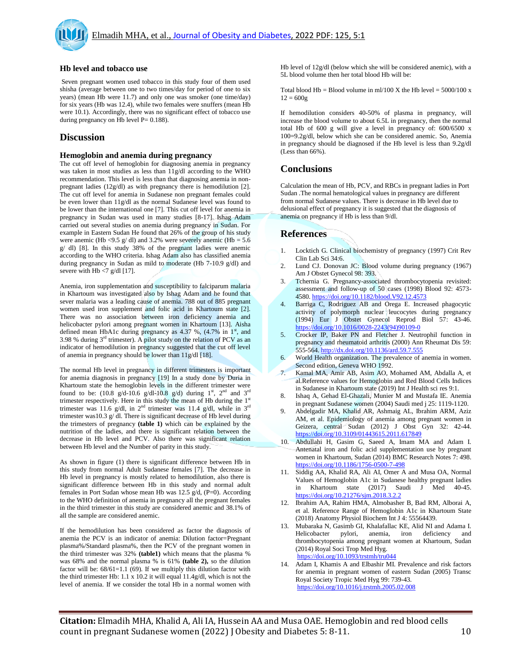

#### **Hb level and tobacco use**

Seven pregnant women used tobacco in this study four of them used shisha (average between one to two times/day for period of one to six years) (mean Hb were 11.7) and only one was smoker (one time/day) for six years (Hb was 12.4), while two females were snuffers (mean Hb were 10.1). Accordingly, there was no significant effect of tobacco use during pregnancy on Hb level  $P = 0.188$ .

## **Discussion**

#### **Hemoglobin and anemia during pregnancy**

The cut off level of hemoglobin for diagnosing anemia in pregnancy was taken in most studies as less than 11g/dl according to the WHO recommendation. This level is less than that diagnosing anemia in nonpregnant ladies (12g/dl) as with pregnancy there is hemodilution [2]. The cut off level for anemia in Sudanese non pregnant females could be even lower than 11g/dl as the normal Sudanese level was found to be lower than the international one [7]. This cut off level for anemia in pregnancy in Sudan was used in many studies [8-17]. Ishag Adam carried out several studies on anemia during pregnancy in Sudan. For example in Eastern Sudan He found that 26% of the group of his study were anemic (Hb <9.5 g/ dl) and 3.2% were severely anemic (Hb =  $5.6$ g/ dl) [8]. In this study 38% of the pregnant ladies were anemic according to the WHO criteria. Ishag Adam also has classified anemia during pregnancy in Sudan as mild to moderate (Hb 7-10.9 g/dl) and severe with Hb  $<$ 7 g/dl [17].

Anemia, iron supplementation and susceptibility to falciparum malaria in Khartoum was investigated also by Ishag Adam and he found that sever malaria was a leading cause of anemia. 788 out of 885 pregnant women used iron supplement and folic acid in Khartoum state [2]. There was no association between iron deficiency anemia and helicobacter pylori among pregnant women in Khartoum [13]. Aisha defined mean HbA1c during pregnancy as  $4.37\%$ ,  $(4.7\%$  in  $1<sup>st</sup>$ , and 3.98 % during  $3<sup>rd</sup>$  trimester). A pilot study on the relation of PCV as an indicator of hemodilution in pregnancy suggested that the cut off level of anemia in pregnancy should be lower than 11g/dl [18].

The normal Hb level in pregnancy in different trimesters is important for anemia diagnosis in pregnancy [19] In a study done by Duria in Khartoum state the hemoglobin levels in the different trimester were found to be: (10.8 g/d-10.6 g/dl-10.8 g/d) during  $1^{st}$ ,  $2^{nd}$  and  $3^{rd}$ trimester respectively. Here in this study the mean of Hb during the  $1<sup>st</sup>$ trimester was 11.6 g/dl, in  $2<sup>nd</sup>$  trimester was 11.4 g/dl, while in  $3<sup>rd</sup>$ trimester was10.3 g/ dl. There is significant decrease of Hb level during the trimesters of pregnancy **(table 1)** which can be explained by the nutrition of the ladies, and there is significant relation between the decrease in Hb level and PCV. Also there was significant relation between Hb level and the Number of parity in this study.

As shown in figure (1) there is significant difference between Hb in this study from normal Adult Sudanese females [7]. The decrease in Hb level in pregnancy is mostly related to hemodilution, also there is significant difference between Hb in this study and normal adult females in Port Sudan whose mean Hb was 12.5 g/d, (P=0). According to the WHO definition of anemia in pregnancy all the pregnant females in the third trimester in this study are considered anemic and 38.1% of all the sample are considered anemic.

If the hemodilution has been considered as factor the diagnosis of anemia the PCV is an indicator of anemia: Dilution factor=Pregnant plasma%/Standard plasma%, then the PCV of the pregnant women in the third trimester was 32% **(table1)** which means that the plasma % was 68% and the normal plasma % is 61% **(table 2),** so the dilution factor will be:  $68/61=1.1$  (69). If we multiply this dilution factor with the third trimester Hb: 1.1 x 10.2 it will equal 11.4g/dl, which is not the level of anemia. If we consider the total Hb in a normal women with Hb level of 12g/dl (below which she will be considered anemic), with a 5L blood volume then her total blood Hb will be:

Total blood Hb = Blood volume in ml/100 X the Hb level =  $5000/100$  x  $12 = 600g$ 

If hemodilution considers 40-50% of plasma in pregnancy, will increase the blood volume to about 6.5L in pregnancy, then the normal total Hb of 600 g will give a level in pregnancy of: 600/6500 x 100=9.2g/dl, below which she can be considered anemic. So, Anemia in pregnancy should be diagnosed if the Hb level is less than 9.2g/dl (Less than 66%).

# **Conclusions**

Calculation the mean of Hb, PCV, and RBCs in pregnant ladies in Port Sudan .The normal hematological values in pregnancy are different from normal Sudanese values. There is decrease in Hb level due to delusional effect of pregnancy it is suggested that the diagnosis of anemia on pregnancy if Hb is less than 9/dl.

### **References**

- 1. Locktich G. Clinical biochemistry of pregnancy (1997) Crit Rev Clin Lab Sci 34:6.
- 2. Lund CJ. Donovan JC: Blood volume during pregnancy (1967) Am J Obstet Gynecol 98: 393.
- 3. Tchernia G. Pregnancy-associated thrombocytopenia revisited: assessment and follow-up of 50 cases (1998) Blood 92: 4573- 4580. <https://doi.org/10.1182/blood.V92.12.4573>
- 4. Barriga C, Rodriguez AB and Orega E. Increased phagocytic activity of polymorph nuclear leucocytes during pregnancy (1994) Eur J Obstet Gynecol Reprod Biol 57: 43-46. [https://doi.org/10.1016/0028-2243\(94\)90109-0](https://doi.org/10.1016/0028-2243(94)90109-0)
- 5. Crocker IP, Baker PN and Fletcher J. Neutrophil function in pregnancy and rheumatoid arthritis (2000) Ann Rheumat Dis 59: 555-564[. http://dx.doi.org/10.1136/ard.59.7.555](http://dx.doi.org/10.1136/ard.59.7.555)
- 6. World Health organization. The prevalence of anemia in women. Second edition, Geneva WHO 1992.
- 7. Kamal MA, Amir AB, Asim AO, Mohamed AM, Abdalla A, et al.Reference values for Hemoglobin and Red Blood Cells Indices in Sudanese in Khartoum state (2019) Int J Health sci res 9:1.
- 8. Ishaq A, Gehad El-Ghazali, Munier M and Mustafa IE. Anemia in pregnant Sudanese women (2004) Saudi med j 25: 1119-1120.
- 9. Abdelgadir MA, Khalid AR, Ashmaig AL, Ibrahim ARM, Aziz AM, et al. Epidemiology of anemia among pregnant women in Geizera, central Sudan (2012) J Obst Gyn 32: 42-44. <https://doi.org/10.3109/01443615.2011.617849>
- 10. Abdullahi H, Gasim G, Saeed A, Imam MA and Adam I. Antenatal iron and folic acid supplementation use by pregnant women in Khartoum, Sudan (2014) BMC Research Notes 7: 498. <https://doi.org/10.1186/1756-0500-7-498>
- 11. Siddig AA, Khalid RA, Ali AI, Omer A and Musa OA, Normal Values of Hemoglobin A1c in Sudanese healthy pregnant ladies in Khartoum state (2017) Saudi J Med 40-45. <https://doi.org/10.21276/sjm.2018.3.2.2>
- 12. Ibrahim AA, Rahim HMA, Almobasher B, Bad RM, Alborai A, et al. Reference Range of Hemoglobin A1c in Khartoum State (2018) Anatomy Physiol Biochem Int J 4: 55564439.
- 13. Mubaraka N, Gasimb GI, Khalafallac KE, Alid NI and Adama I. Helicobacter pylori, anemia, iron deficiency and thrombocytopenia among pregnant women at Khartoum, Sudan (2014) Royal Soci Trop Med Hyg. <https://doi.org/10.1093/trstmh/tru044>
- 14. [Adam](https://www.researchgate.net/profile/Ishag_Adam) I, [Khamis](https://www.researchgate.net/profile/Amar_Khamis) A and [Elbashir](https://www.researchgate.net/profile/Mustafa_Elbashir) MI. Prevalence and risk factors for anemia in pregnant women of eastern Sudan (2005) Transc Royal Society Tropic Med Hyg 99: 739-43. <https://doi.org/10.1016/j.trstmh.2005.02.008>

**Citation:** Elmadih MHA, Khalid A, Ali IA, Hussein AA and Musa OAE. Hemoglobin and red blood cells count in pregnant Sudanese women (2022) J Obesity and Diabetes 5: 8-11. 10